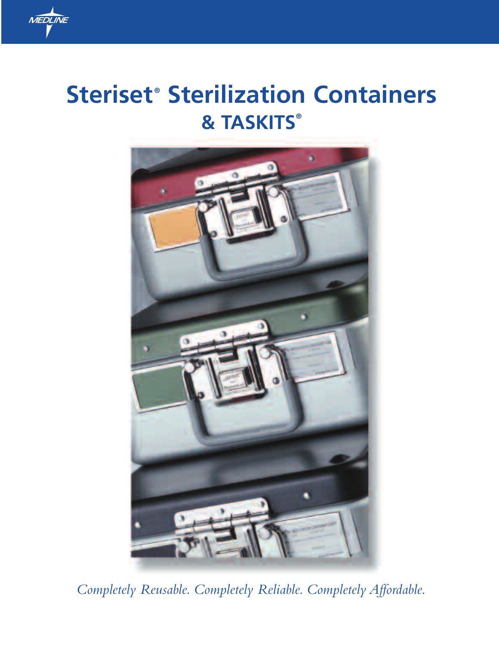

# **Steriset<sup>®</sup> Sterilization Containers & TASKITS®**



*Completely Reusable. Completely Reliable. Completely Affordable.*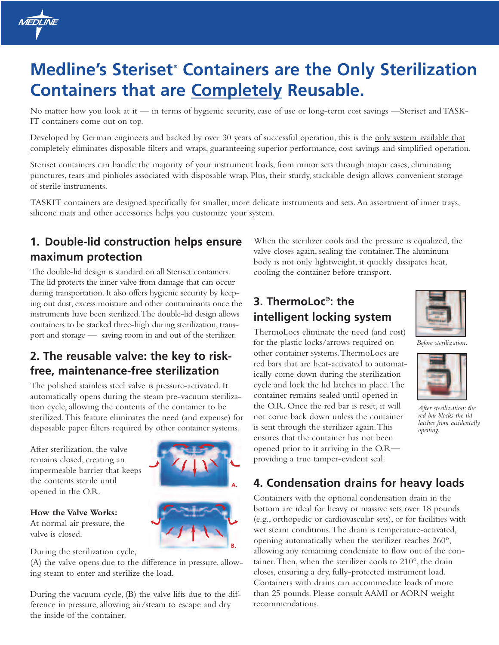

# **Medline's Steriset<sup>®</sup> Containers are the Only Sterilization Containers that are Completely Reusable.**

No matter how you look at it — in terms of hygienic security, ease of use or long-term cost savings —Steriset and TASK-IT containers come out on top.

Developed by German engineers and backed by over 30 years of successful operation, this is the only system available that completely eliminates disposable filters and wraps, guaranteeing superior performance, cost savings and simplified operation.

Steriset containers can handle the majority of your instrument loads, from minor sets through major cases, eliminating punctures, tears and pinholes associated with disposable wrap. Plus, their sturdy, stackable design allows convenient storage of sterile instruments.

TASKIT containers are designed specifically for smaller, more delicate instruments and sets.An assortment of inner trays, silicone mats and other accessories helps you customize your system.

### **1. Double-lid construction helps ensure maximum protection**

The double-lid design is standard on all Steriset containers. The lid protects the inner valve from damage that can occur during transportation. It also offers hygienic security by keeping out dust, excess moisture and other contaminants once the instruments have been sterilized.The double-lid design allows containers to be stacked three-high during sterilization, transport and storage — saving room in and out of the sterilizer.

### **2. The reusable valve: the key to riskfree, maintenance-free sterilization**

The polished stainless steel valve is pressure-activated. It automatically opens during the steam pre-vacuum sterilization cycle, allowing the contents of the container to be sterilized.This feature eliminates the need (and expense) for disposable paper filters required by other container systems.

After sterilization, the valve remains closed, creating an impermeable barrier that keeps the contents sterile until opened in the O.R.



#### **How the Valve Works:**

At normal air pressure, the valve is closed.

During the sterilization cycle,

(A) the valve opens due to the difference in pressure, allowing steam to enter and sterilize the load.

During the vacuum cycle, (B) the valve lifts due to the difference in pressure, allowing air/steam to escape and dry the inside of the container.

When the sterilizer cools and the pressure is equalized, the valve closes again, sealing the container.The aluminum body is not only lightweight, it quickly dissipates heat, cooling the container before transport.

### **3. ThermoLoc®: the intelligent locking system**

ThermoLocs eliminate the need (and cost) for the plastic locks/arrows required on other container systems.ThermoLocs are red bars that are heat-activated to automatically come down during the sterilization cycle and lock the lid latches in place.The container remains sealed until opened in the O.R. Once the red bar is reset, it will not come back down unless the container is sent through the sterilizer again.This ensures that the container has not been opened prior to it arriving in the O.R providing a true tamper-evident seal.



*Before sterilization.*



*After sterilization: the red bar blocks the lid latches from accidentally opening.*

### **4. Condensation drains for heavy loads**

Containers with the optional condensation drain in the bottom are ideal for heavy or massive sets over 18 pounds (e.g., orthopedic or cardiovascular sets), or for facilities with wet steam conditions.The drain is temperature-activated, opening automatically when the sterilizer reaches 260°, allowing any remaining condensate to flow out of the container.Then, when the sterilizer cools to 210°, the drain closes, ensuring a dry, fully-protected instrument load. Containers with drains can accommodate loads of more than 25 pounds. Please consult AAMI or AORN weight recommendations.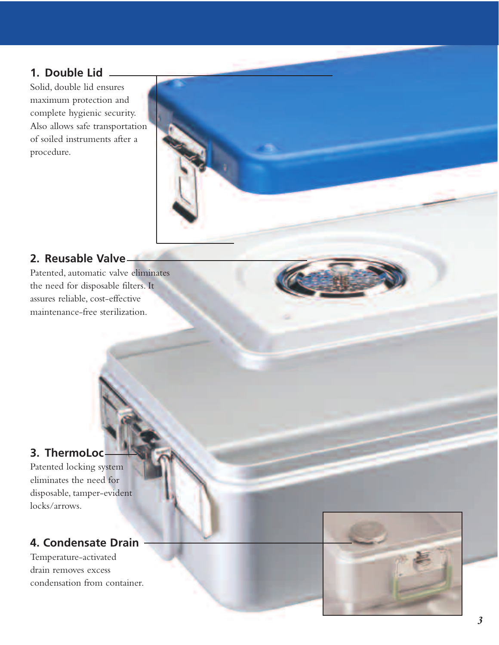### **1. Double Lid**

Solid, double lid ensures maximum protection and complete hygienic security. Also allows safe transportation of soiled instruments after a procedure.

### **2. Reusable Valve**

Patented, automatic valve eliminates the need for disposable filters. It assures reliable, cost-effective maintenance-free sterilization.



### **3. ThermoLoc**

Patented locking system eliminates the need for disposable, tamper-evident locks/arrows.

### **4. Condensate Drain**

Temperature-activated drain removes excess condensation from container.

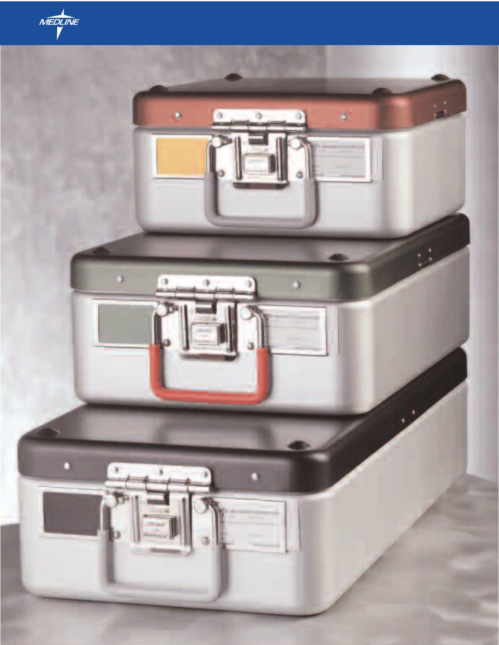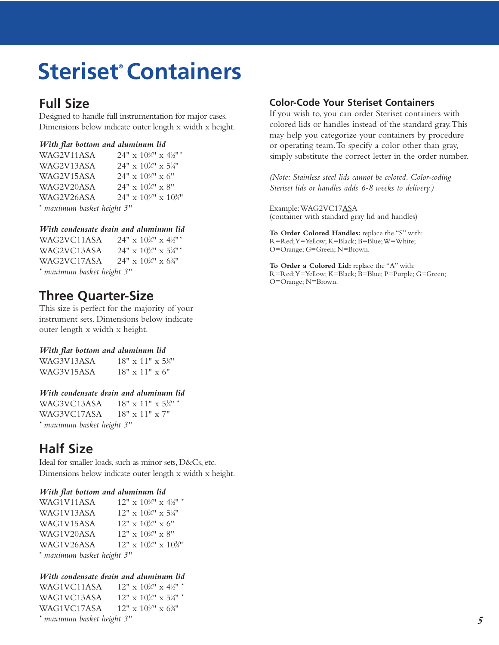# **Steriset® Containers**

### **Full Size**

Designed to handle full instrumentation for major cases. Dimensions below indicate outer length x width x height.

#### *With flat bottom and aluminum lid*

| WAG2V11ASA                 | 24" x $10\frac{3}{4}$ " x $4\frac{1}{2}$ " *         |
|----------------------------|------------------------------------------------------|
| WAG2V13ASA                 | $24'' \times 10^{34''} \times 5^{14''}$              |
| WAG2V15ASA                 | $24'' \times 10^{3}$ $\times 6''$                    |
| WAG2V20ASA                 | $24'' \times 10\frac{3}{4}'' \times 8''$             |
| WAG2V26ASA                 | $24'' \times 10\frac{3}{4}'' \times 10\frac{3}{4}''$ |
| * maximum basket height 3" |                                                      |

#### *With condensate drain and aluminum lid*

WAG2VC11ASA  $4'' \times 4\frac{1}{2}$ <sup>"\*</sup> WAG2VC13ASA  $4'' \times 54''$ WAG2VC17ASA ⁄4" x 63 ⁄4" *\* maximum basket height 3"*

### **Three Quarter-Size**

This size is perfect for the majority of your instrument sets. Dimensions below indicate outer length x width x height.

#### *With flat bottom and aluminum lid*

| WAG3V13ASA | $18" \times 11" \times 5\frac{1}{4}$ |
|------------|--------------------------------------|
| WAG3V15ASA | $18" \times 11" \times 6"$           |

#### *With condensate drain and aluminum lid*

WAG3VC13ASA 18" x 11" x 5<sup>1/4"</sup> WAG3VC17ASA 18" x 11" x 7" *\* maximum basket height 3"*

### **Half Size**

Ideal for smaller loads, such as minor sets, D&Cs, etc. Dimensions below indicate outer length x width x height.

#### *With flat bottom and aluminum lid*

| WAG1V11ASA                 | $12" \times 10^{3/4} \times 4^{1/4}$                 |
|----------------------------|------------------------------------------------------|
| WAG1V13ASA                 | $12'' \times 10^{34''} \times 5^{14''}$              |
| WAG1V15ASA                 | $12'' \times 10\frac{3}{4}'' \times 6''$             |
| WAG1V20ASA                 | $12'' \times 10\frac{3}{4}'' \times 8''$             |
| WAG1V26ASA                 | $12'' \times 10\frac{3}{4}'' \times 10\frac{3}{4}''$ |
| * maximum basket height 3" |                                                      |

#### *With condensate drain and aluminum lid*

WAG1VC11ASA  $12'' \times 10^{34''} \times 4^{14''}$ WAG1VC13ASA  $4'' \times 54''$ WAG1VC17ASA ⁄4" x 63 ⁄4" *\* maximum basket height 3"*

### **Color-Code Your Steriset Containers**

If you wish to, you can order Steriset containers with colored lids or handles instead of the standard gray.This may help you categorize your containers by procedure or operating team.To specify a color other than gray, simply substitute the correct letter in the order number.

*(Note: Stainless steel lids cannot be colored. Color-coding Steriset lids or handles adds 6-8 weeks to delivery.)* 

Example:WAG2VC17ASA (container with standard gray lid and handles)

**To Order Colored Handles:** replace the "S" with: R=Red;Y=Yellow; K=Black; B=Blue;W=White; O=Orange; G=Green; N=Brown.

**To Order a Colored Lid:** replace the "A" with: R=Red;Y=Yellow; K=Black; B=Blue; P=Purple; G=Green; O=Orange; N=Brown.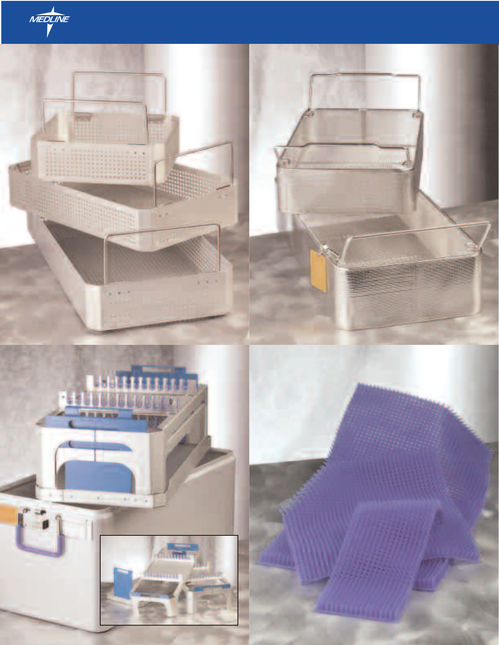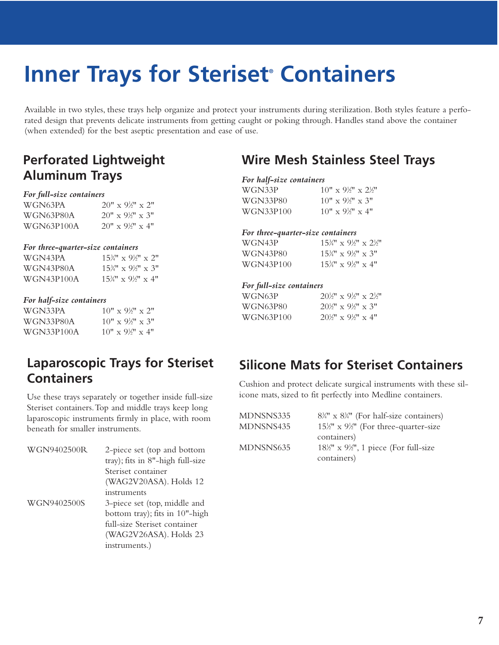# **Inner Trays for Steriset® Containers**

Available in two styles, these trays help organize and protect your instruments during sterilization. Both styles feature a perforated design that prevents delicate instruments from getting caught or poking through. Handles stand above the container (when extended) for the best aseptic presentation and ease of use.

### **Perforated Lightweight Aluminum Trays**

#### *For full-size containers*

| WGN63PA    | $20'' \times 9\frac{1}{8}'' \times 2''$ |
|------------|-----------------------------------------|
| WGN63P80A  | $20'' \times 9\frac{1}{9}$ x 3"         |
| WGN63P100A | $20'' \times 9\frac{1}{9}$ x 4"         |

#### *For three-quarter-size containers*

| WGN43PA    | $15\frac{3}{4}$ " x 9 <sup>1</sup> / <sub>2</sub> " x 2" |
|------------|----------------------------------------------------------|
| WGN43P80A  | $15\frac{3}{4}$ " x 9 <sup>1</sup> / <sub>2</sub> " x 3" |
| WGN43P100A | $15\frac{3}{4}$ " x 9 <sup>1</sup> / <sub>2</sub> " x 4" |

#### *For half-size containers*

| WGN33PA    | $10'' \times 9\frac{1}{8}'' \times 2''$ |
|------------|-----------------------------------------|
| WGN33P80A  | $10'' \times 9\frac{1}{9}'' \times 3''$ |
| WGN33P100A | $10'' \times 9\frac{1}{8}'' \times 4''$ |

### **Laparoscopic Trays for Steriset Containers**

Use these trays separately or together inside full-size Steriset containers.Top and middle trays keep long laparoscopic instruments firmly in place, with room beneath for smaller instruments.

| WGN9402500R | 2-piece set (top and bottom<br>tray); fits in 8"-high full-size |
|-------------|-----------------------------------------------------------------|
|             | Steriset container                                              |
|             | (WAG2V20ASA). Holds 12                                          |
|             | instruments                                                     |
| WGN9402500S | 3-piece set (top, middle and                                    |
|             | bottom tray); fits in 10"-high                                  |
|             | full-size Steriset container                                    |
|             | (WAG2V26ASA). Holds 23                                          |
|             | instruments.)                                                   |
|             |                                                                 |

### **Wire Mesh Stainless Steel Trays**

#### *For half-size containers*

| WGN33P    |  | $10'' \times 9\frac{1}{9}'' \times 2\frac{1}{9}''$ |  |
|-----------|--|----------------------------------------------------|--|
| WGN33P80  |  | $10'' \times 9\frac{1}{9}'' \times 3''$            |  |
| WGN33P100 |  | $10'' \times 9\frac{1}{8}'' \times 4''$            |  |

#### *For three-quarter-size containers*

| WGN43P    | $15\frac{3}{4}$ " x 9 <sup>1</sup> / <sub>2</sub> " x 2 <sup>1</sup> / <sub>2</sub> " |
|-----------|---------------------------------------------------------------------------------------|
| WGN43P80  | $15\%$ " x 9 <sup>1</sup> / <sub>2</sub> " x 3"                                       |
| WGN43P100 | $15\frac{3}{4}$ " x 9 <sup>1</sup> / <sub>2</sub> " x 4"                              |

#### *For full-size containers*

| WGN63P    | $20\frac{1}{2}$ x $9\frac{1}{2}$ x $2\frac{1}{2}$ |  |  |
|-----------|---------------------------------------------------|--|--|
| WGN63P80  | $20\%$ " x 9 <sup>1</sup> / <sub>2</sub> " x 3"   |  |  |
| WGN63P100 | $20\%$ " x 9 <sup>1</sup> / <sub>2</sub> " x 4"   |  |  |

### **Silicone Mats for Steriset Containers**

Cushion and protect delicate surgical instruments with these silicone mats, sized to fit perfectly into Medline containers.

| MDNSNS335 | $8\frac{3}{4}$ " x $8\frac{3}{4}$ " (For half-size containers) |
|-----------|----------------------------------------------------------------|
| MDNSNS435 | $15\frac{1}{2}$ " x $9\frac{1}{2}$ " (For three-quarter-size   |
|           | containers)                                                    |
| MDNSNS635 | $18\frac{1}{2}$ " x $9\frac{1}{2}$ ", 1 piece (For full-size   |
|           | containers)                                                    |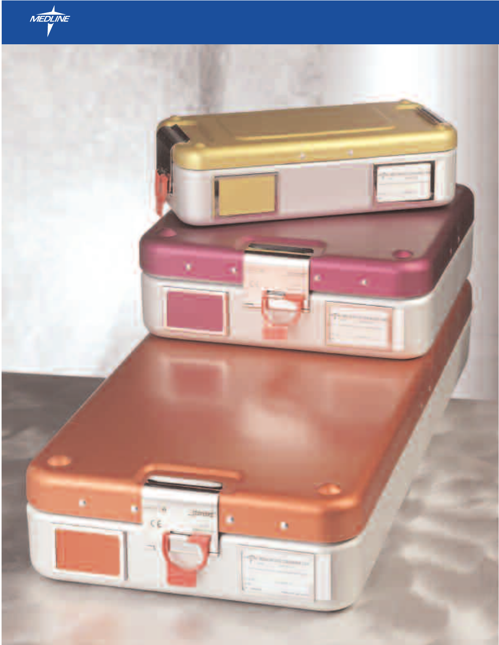

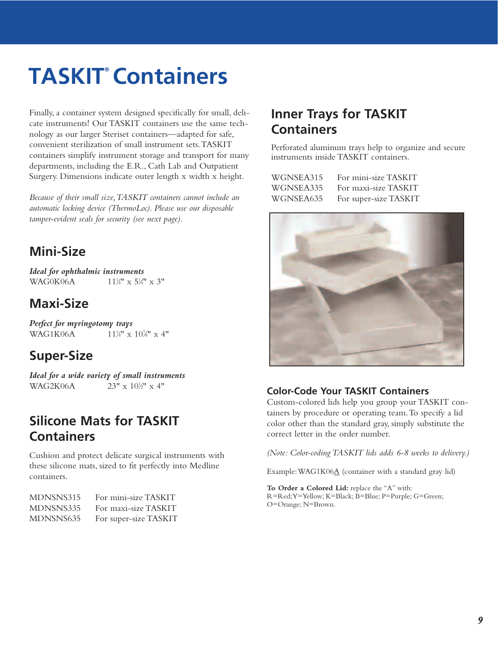# **TASKIT® Containers**

Finally, a container system designed specifically for small, delicate instruments! Our TASKIT containers use the same technology as our larger Steriset containers—adapted for safe, convenient sterilization of small instrument sets.TASKIT containers simplify instrument storage and transport for many departments, including the E.R., Cath Lab and Outpatient Surgery. Dimensions indicate outer length x width x height.

*Because of their small size,TASKIT containers cannot include an automatic locking device (ThermoLoc). Please use our disposable tamper-evident seals for security (see next page).*

## **Mini-Size**

*Ideal for ophthalmic instruments* WAG0K06A ⁄4" x 51 ⁄4" x 3"

## **Maxi-Size**

*Perfect for myringotomy trays*  $WAG1K06A$  $4" \times 10\%" \times 4"$ 

## **Super-Size**

*Ideal for a wide variety of small instruments* WAG2K06A  $23'' \times 10\frac{1}{2}'' \times 4''$ 

## **Silicone Mats for TASKIT Containers**

Cushion and protect delicate surgical instruments with these silicone mats, sized to fit perfectly into Medline containers.

| MDNSNS315 | For mini-size TASKIT  |
|-----------|-----------------------|
| MDNSNS335 | For maxi-size TASKIT  |
| MDNSNS635 | For super-size TASKIT |

### **Inner Trays for TASKIT Containers**

Perforated aluminum trays help to organize and secure instruments inside TASKIT containers.

| WGNSEA315 | For mini-size TASKIT  |
|-----------|-----------------------|
| WGNSEA335 | For maxi-size TASKIT  |
| WGNSEA635 | For super-size TASKIT |



### **Color-Code Your TASKIT Containers**

Custom-colored lids help you group your TASKIT containers by procedure or operating team.To specify a lid color other than the standard gray, simply substitute the correct letter in the order number.

*(Note: Color-coding TASKIT lids adds 6-8 weeks to delivery.)* 

Example: WAG1K06A (container with a standard gray lid)

**To Order a Colored Lid:** replace the "A" with: R=Red;Y=Yellow; K=Black; B=Blue; P=Purple; G=Green; O=Orange; N=Brown.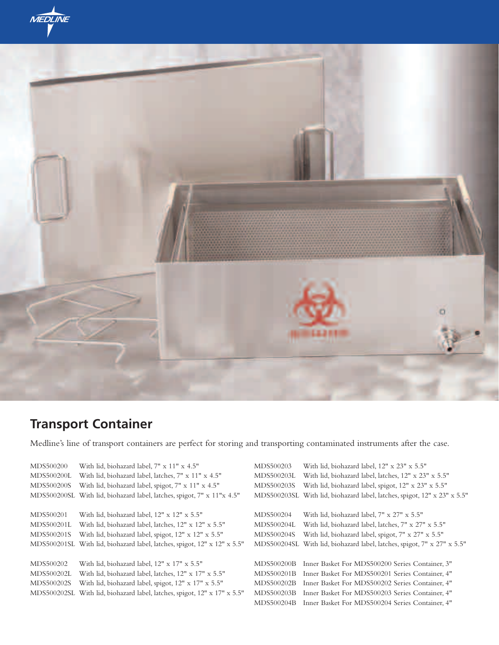**NEDLINE** 



# **Transport Container**

Medline's line of transport containers are perfect for storing and transporting contaminated instruments after the case.

| MDS500200         | With lid, biohazard label, 7" x 11" x 4.5"                   | MDS500203   | With lid, biohazard label, 12" x 23" x 5.5"                  |
|-------------------|--------------------------------------------------------------|-------------|--------------------------------------------------------------|
| MDS500200L        | With lid, biohazard label, latches, 7" x 11" x 4.5"          | MDS500203L  | With lid, biohazard label, latches, 12" x 23" x 5.5"         |
| <b>MDS500200S</b> | With lid, biohazard label, spigot, 7" x 11" x 4.5"           | MDS500203S  | With lid, biohazard label, spigot, 12" x 23" x 5.5"          |
| MDS500200SL       | With lid, biohazard label, latches, spigot, 7" x 11"x 4.5"   | MDS500203SL | With lid, biohazard label, latches, spigot, 12" x 23" x 5.5" |
|                   |                                                              |             |                                                              |
| MDS500201         | With lid, biohazard label, 12" x 12" x 5.5"                  | MDS500204   | With lid, biohazard label, 7" x 27" x 5.5"                   |
| MDS500201L        | With lid, biohazard label, latches, 12" x 12" x 5.5"         | MDS500204L  | With lid, biohazard label, latches, 7" x 27" x 5.5"          |
| MDS500201S        | With lid, biohazard label, spigot, 12" x 12" x 5.5"          | MDS500204S  | With lid, biohazard label, spigot, 7" x 27" x 5.5"           |
| MDS500201SL       | With lid, biohazard label, latches, spigot, 12" x 12" x 5.5" | MDS500204SL | With lid, biohazard label, latches, spigot, 7" x 27" x 5.5"  |
|                   |                                                              |             |                                                              |
| MDS500202         | With lid, biohazard label, 12" x 17" x 5.5"                  | MDS500200B  | Inner Basket For MDS500200 Series Container, 3"              |
| MDS500202L        | With lid, biohazard label, latches, 12" x 17" x 5.5"         | MDS500201B  | Inner Basket For MDS500201 Series Container, 4"              |
| MDS500202S        | With lid, biohazard label, spigot, 12" x 17" x 5.5"          | MDS500202B  | Inner Basket For MDS500202 Series Container, 4"              |
| MDS500202SL       | With lid, biohazard label, latches, spigot, 12" x 17" x 5.5" | MDS500203B  | Inner Basket For MDS500203 Series Container, 4"              |
|                   |                                                              | MDS500204B  | Inner Basket For MDS500204 Series Container, 4"              |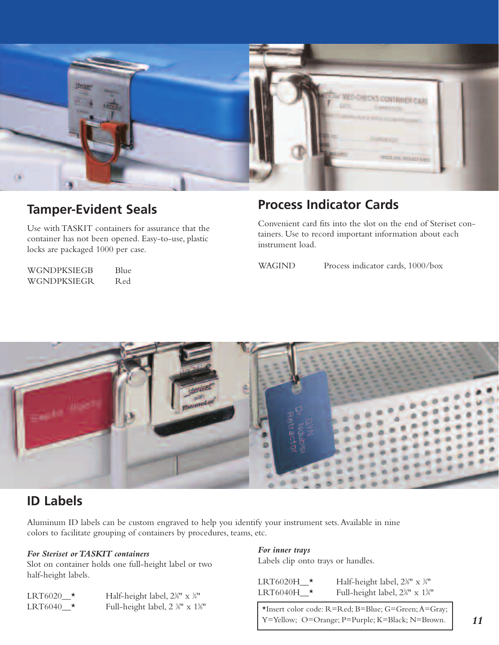

### **Tamper-Evident Seals**

Use with TASKIT containers for assurance that the container has not been opened. Easy-to-use, plastic locks are packaged 1000 per case.

| WGNDPKSIEGB | <b>B</b> lue |
|-------------|--------------|
| WGNDPKSIEGR | Red          |

## **Process Indicator Cards**

Convenient card fits into the slot on the end of Steriset containers. Use to record important information about each instrument load.

WAGIND Process indicator cards, 1000/box



### **ID Labels**

Aluminum ID labels can be custom engraved to help you identify your instrument sets.Available in nine colors to facilitate grouping of containers by procedures, teams, etc.

#### *For Steriset or TASKIT containers*

Slot on container holds one full-height label or two half-height labels.

LRT6020 $\_\star$  Half-height label, 2<sup>3</sup>/<sub>8</sub>" x <sup>3</sup>/<sub>4</sub>" LRT6040 $\_\star$  Full-height label, 2  $\%$ " x 1 $\frac{1}{2}$ 

### *For inner trays*

Labels clip onto trays or handles.

| LRT6020H $\star$ | Half-height label, 2 <sup>3</sup> / <sub>3</sub> " x <sup>3</sup> / <sub>4</sub> "   |
|------------------|--------------------------------------------------------------------------------------|
| LRT6040H $\star$ | Full-height label, 2 <sup>3</sup> / <sub>s</sub> " x 1 <sup>5</sup> / <sub>s</sub> " |

⁄8" \*Insert color code: R=Red; B=Blue; G=Green;A=Gray; Y=Yellow; O=Orange; P=Purple; K=Black; N=Brown. *11*